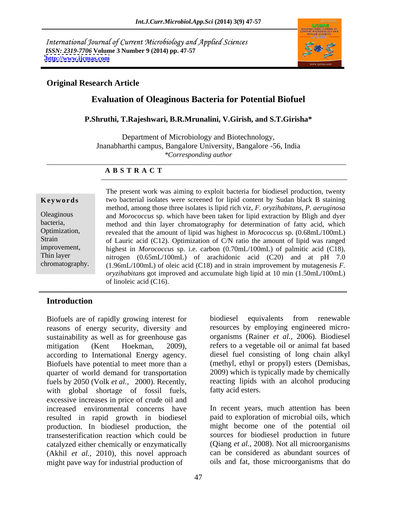International Journal of Current Microbiology and Applied Sciences *ISSN: 2319-7706* **Volume 3 Number 9 (2014) pp. 47-57 <http://www.ijcmas.com>**



#### **Original Research Article**

### **Evaluation of Oleaginous Bacteria for Potential Biofuel**

#### **P.Shruthi, T.Rajeshwari, B.R.Mrunalini, V.Girish, and S.T.Girisha\***

Department of Microbiology and Biotechnology, Jnanabharthi campus, Bangalore University, Bangalore -56, India *\*Corresponding author*

#### **A B S T R A C T**

**Keywords** two bacterial isolates were screened for lipid content by Sudan black B staining Oleaginous and *Morococcus* sp. which have been taken for lipid extraction by Bligh and dyer bacteria, method and thin layer chromatography for determination of fatty acid, which Optimization, revealed that the amount of lipid was highest in *Morococcus* sp. (0.68mL/100mL) Strain of Lauric acid (C12). Optimization of C/N ratio the amount of lipid was ranged improvement, highest in *Morococcus* sp. i.e. carbon (0.70mL/100mL) of palmitic acid (C18), Thin layer nitrogen (0.65mL/100mL) of arachidonic acid (C20) and at pH 7.0 chromatography. (1.96mL/100mL) of oleic acid (C18) and in strain improvement by mutagenesis *F.* The present work was aiming to exploit bacteria for biodiesel production, twenty method, among those three isolates is lipid rich viz, *F. oryzihabitans*, *P. aeruginosa oryzihabitans* got improved and accumulate high lipid at 10 min (1.50mL/100mL) of linoleic acid (C16).

### **Introduction**

Biofuels are of rapidly growing interest for biodiesel equivalents from renewable reasons of energy security, diversity and sustainability as well as for greenhouse gas mitigation (Kent Hoekman, 2009), refers to a vegetable oil or animal fat based according to International Energy agency. Biofuels have potential to meet more than a quarter of world demand for transportation fuels by 2050 (Volk *et al.,* 2000). Recently, with global shortage of fossil fuels, excessive increases in price of crude oil and increased environmental concerns have In recent years, much attention has been resulted in rapid growth in biodiesel production. In biodiesel production, the transesterification reaction which could be catalyzed either chemically or enzymatically (Akhil *et al.,* 2010), this novel approach might pave way for industrial production of

biodiesel equivalents from renewable resources by employing engineered micro organisms (Rainer *et al.,* 2006). Biodiesel diesel fuel consisting of long chain alkyl (methyl, ethyl or propyl) esters (Demisbas, 2009) which is typically made by chemically reacting lipids with an alcohol producing fatty acid esters.

paid to exploration of microbial oils, which might become one of the potential oil sources for biodiesel production in future (Qiang *et al.,* 2008). Not all microorganisms can be considered as abundant sources of oils and fat, those microorganisms that do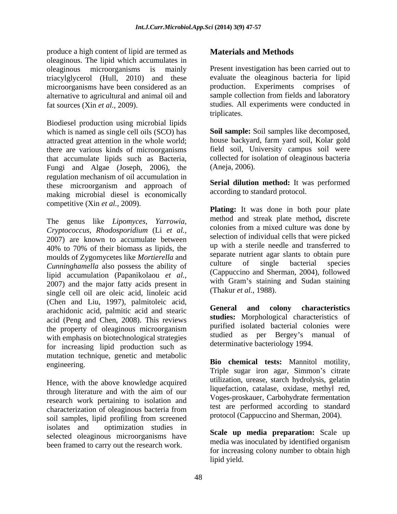produce a high content of lipid are termed as oleaginous. The lipid which accumulates in oleaginous microorganisms is mainly Present investigation has been carried out to triacylglycerol (Hull, 2010) and these microorganisms have been considered as an alternative to agricultural and animal oil and

Biodiesel production using microbial lipids which is named as single cell oils (SCO) has **Soil sample:** Soil samples like decomposed, attracted great attention in the whole world; there are various kinds of microorganisms that accumulate lipids such as Bacteria, Fungi and Algae (Joseph, 2006), the regulation mechanism of oil accumulation in these microorganism and approach of making microbial diesel is economically competitive (Xin *et al.,* 2009).

The genus like *Lipomyces, Yarrowia, Cryptococcus, Rhodosporidium* (Li *et al.,* 2007) are known to accumulate between 40% to 70% of their biomass as lipids, the moulds of Zygomycetes like *Mortierella* and<br>Cunninghamella also possess the philip of all culture of single bacterial species *Cunninghamella* also possess the ability of lipid accumulation (Papanikolaou *et al.,* 2007) and the major fatty acids present in single cell oil are oleic acid, linoleic acid (Chen and Liu, 1997), palmitoleic acid, arachidonic acid, palmitic acid and stearic acid (Peng and Chen, 2008). This reviews the property of oleaginous microorganism with emphasis on biotechnological strategies for increasing lipid production such as mutation technique, genetic and metabolic

Hence, with the above knowledge acquired through literature and with the aim of our research work pertaining to isolation and characterization of oleaginous bacteria from soil samples, lipid profiling from screened isolates and optimization studies in selected oleaginous microorganisms have been framed to carry out the research work.

### **Materials and Methods**

fat sources (Xin *et al.,* 2009). studies. All experiments were conducted in evaluate the oleaginous bacteria for lipid production. Experiments comprises of sample collection from fields and laboratory triplicates.

> house backyard, farm yard soil, Kolar gold field soil, University campus soil were collected for isolation of oleaginous bacteria (Aneja, 2006).

> **Serial dilution method:** It was performed according to standard protocol.

**Plating:** It was done in both pour plate method and streak plate method**,** discrete colonies from a mixed culture was done by selection of individual cells that were picked up with a sterile needle and transferred to separate nutrient agar slants to obtain pure culture of single bacterial species (Cappuccino and Sherman, 2004), followed with Gram's staining and Sudan staining (Thakur *et al.,* 1988).

**General and colony characteristics studies:** Morphological characteristics of purified isolated bacterial colonies were studied as per Bergey's manual of determinative bacteriology 1994.

Elio chemical tests: Mannitol motility, engineering.<br>
Triple sugar iron agar, Simmon's citrate **Bio chemical tests:** Mannitol motility,<br>Triple sugar iron agar, Simmon's citrate utilization, urease, starch hydrolysis, gelatin liquefaction, catalase, oxidase, methyl red, Voges-proskauer, Carbohydrate fermentation test are performed according to standard protocol (Cappuccino and Sherman, 2004).

> **Scale up media preparation:** Scale up media was inoculated by identified organism for increasing colony number to obtain high lipid yield.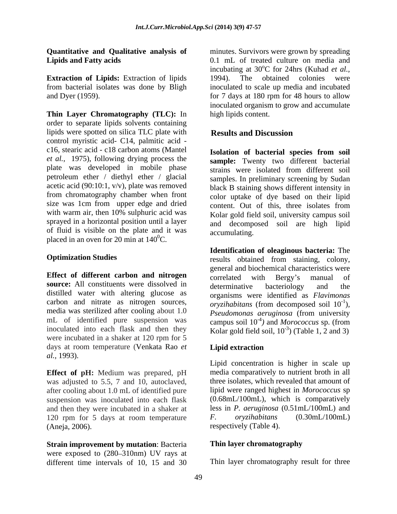**Extraction of Lipids:** Extraction of lipids from bacterial isolates was done by Bligh

**Thin Layer Chromatography (TLC):** In order to separate lipids solvents containing lipids were spotted on silica TLC plate with **Results and Discussion** control myristic acid- C14, palmitic acid c16, stearic acid - c18 carbon atoms (Mantel plate was developed in mobile phase strains were isolated from different soil petroleum ether / diethyl ether / glacial acetic acid (90:10:1, v/v), plate was removed size was 1cm from upper edge and dried with warm air, then 10% sulphuric acid was sprayed in a horizontal position until a layer of fluid is visible on the plate and it was placed in an oven for 20 min at  $140^{\circ}$ C.

**Effect of different carbon and nitrogen source:** All constituents were dissolved in determinative bacteriology and the distilled water with altering glucose as carbon and nitrate as nitrogen sources, media was sterilized after cooling about 1.0<br>Pseudomonas aeruginosa (from university were incubated in a shaker at 120 rpm for 5 days at room temperature (Venkata Rao *et al.,* 1993).

**Effect of pH:** Medium was prepared, pH was adjusted to 5.5, 7 and 10, autoclaved, after cooling about 1.0 mL of identified pure suspension was inoculated into each flask and then they were incubated in a shaker at 120 rpm for 5 days at room temperature F. oryzihabitans (0.30mL/100mL) (Aneja, 2006). respectively (Table 4).

**Strain improvement by mutation**: Bacteria were exposed to  $(280-310)$ m) UV rays at different time intervals of 10, 15 and 30 Thin layer chromatography result for three

**Quantitative and Qualitative analysis of** minutes. Survivors were grown by spreading **Lipids and Fatty acids** 0.1 mL of treated culture on media and and Dyer (1959). **for 7 days at 180 rpm for 48 hours to allow** incubating at  $30^{\circ}$ C for 24hrs (Kuhad *et al.*, oC for 24hrs (Kuhad *et al.,* 1994). The obtained colonies were inoculated to scale up media and incubated inoculated organism to grow and accumulate high lipids content.

### **Results and Discussion**

*et al.,* 1975), following drying process the **sample:** Twenty two different bacterial from chromatography chamber when front color uptake of dye based on their lipid **Isolation of bacterial species from soil** strains were isolated from different soil samples. In preliminary screening by Sudan black B staining shows different intensity in content. Out of this, three isolates from Kolar gold field soil, university campus soil and decomposed soil are high lipid accumulating.

**Optimization Studies** results obtained from staining, colony, mL of identified pure suspension was campus soil  $10^{-4}$ ) and *Morococcus* sp. (from inoculated into each flask and then they  $\qquad$  Kolar gold field soil,  $10^{-3}$ ) (Table 1, 2 and 3) **Identification of oleaginous bacteria:** The general and biochemical characteristics were correlated with Bergy's manual of determinative bacteriology and the organisms were identified as *Flavimonas oryzihabitans* (from decomposed soil  $10^{-1}$ ). )*, Pseudomonas aeruginosa* (from university

### **Lipid extraction**

Lipid concentration is higher in scale up media comparatively to nutrient broth in all three isolates, which revealed that amount of lipid were ranged highest in *Morococcus* sp (0.68mL/100mL), which is comparatively less in *P. aeruginosa* (0.51mL/100mL) and *F. oryzihabitans* (0.30mL/100mL)

#### **Thin layer chromatography**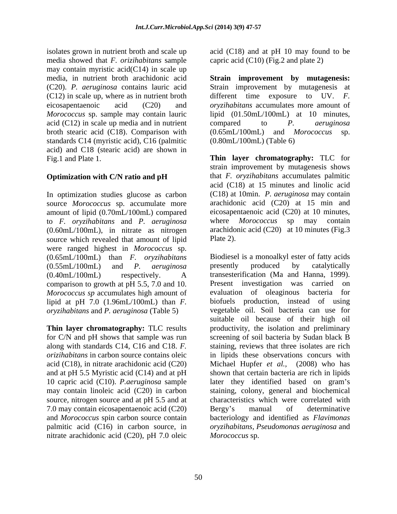isolates grown in nutrient broth and scale up acid (C18) and at pH 10 may found to be media showed that *F. orizihabitans* sample may contain myristic acid(C14) in scale up  $(C12)$  in scale up, where as in nutrient broth different time exposure to UV. F. acid (C12) in scale up media and in nutrient compared to  $P$ . *aeruginosa* broth stearic acid (C18). Comparison with  $(0.65 \text{m}L/100 \text{m}L)$  and Morococcus sp. standards C14 (myristic acid), C16 (palmitic acid) and C18 (stearic acid) are shown in

In optimization studies glucose as carbon source *Morococcus* sp. accumulate more amount of lipid (0.70mL/100mL) compared to *F. oryzihabitans* and *P. aeruginosa* (0.60mL/100mL), in nitrate as nitrogen source which revealed that amount of lipid Plate 2). were ranged highest in *Morococcus* sp. (0.65mL/100mL) than *F. oryzihabitans* (0.40mL/100mL) respectively. A transesterification (Ma and Hanna, 1999).<br>comparison to growth at pH 5.5, 7.0 and 10. Present investigation was carried on comparison to growth at pH 5.5, 7.0 and 10. Present investigation was carried on *Morococcus* sp accumulates high amount of evaluation of oleaginous bacteria for lipid at pH 7.0 (1.96mL/100mL) than *F. oryzihabitans* and *P. aeruginosa* (Table 5)

and at pH 5.5 Myristic acid (C14) and at pH may contain linoleic acid (C20) in carbon source, nitrogen source and at pH 5.5 and at 7.0 may contain eicosapentaenoic acid (C20) and *Morococcus* spin carbon source contain nitrate arachidonic acid (C20), pH 7.0 oleic

capric acid  $(C10)$  (Fig.2 and plate 2)

media, in nutrient broth arachidonic acid **Strain improvement by mutagenesis:** (C20). *P. aeruginosa* contains lauric acid Strain improvement by mutagenesis at eicosapentaenoic acid (C20) and *oryzihabitans* accumulates more amount of *Morococcus* sp. sample may contain lauric lipid (01.50mL/100mL) at 10 minutes, different time exposure to UV. *F.* compared to *P. aeruginosa*  $(0.65mL/100mL)$  and *Morococcus* (0.80mL/100mL) (Table 6)

Fig.1 and Plate 1. **Thin layer chromatography:** TLC for **Optimization with C/N ratio and pH** that *F. oryzihabitans* accumulates palmitic strain improvement by mutagenesis shows that *F. oryzihabitans* accumulates palmitic acid (C18) at 15 minutes and linolic acid (C18) at 10min. *P. aeruginosa* may contain arachidonic acid (C20) at 15 min and eicosapentaenoic acid (C20) at 10 minutes, where *Morococcus* sp may contain arachidonic acid (C20) at 10 minutes (Fig.3 Plate 2).

(0.55mL/100mL) and *P. aeruginosa* **Thin layer chromatography:** TLC results productivity, the isolation and preliminary for C/N and pH shows that sample was run screening of soil bacteria by Sudan black B along with standards C14, C16 and C18. *F.* staining, reviews that three isolates are rich *orizihabitans* in carbon source contains oleic in lipids these observations concurs with acid (C18), in nitrate arachidonic acid (C20) Michael Hupfer *et al.,* (2008) who has 10 capric acid (C10). *P.aeruginosa* sample later they identified based on gram's palmitic acid (C16) in carbon source, in *oryzihabitans, Pseudomonas aeruginosa* and Biodiesel is a monoalkyl ester of fatty acids presently produced by catalytically transesterification (Ma and Hanna, 1999). Present investigation was carried on evaluation of oleaginous bacteria biofuels production, instead of using vegetable oil. Soil bacteria can use for suitable oil because of their high oil shown that certain bacteria are rich in lipids staining, colony, general and biochemical characteristics which were correlated with Bergy's manual of determinative bacteriology and identified as *Flavimonas Morococcus* sp.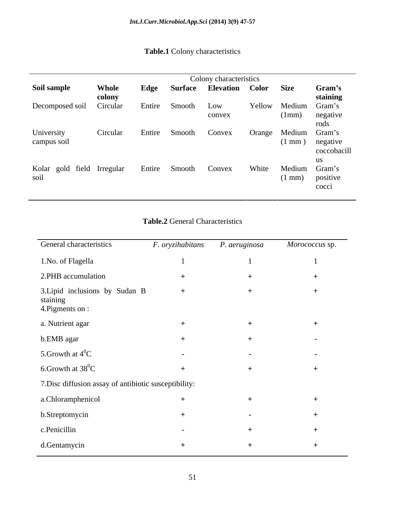# **Table.1** Colony characteristics

|                                                 |                 |        | Colony characteristics              |        |               |                                |
|-------------------------------------------------|-----------------|--------|-------------------------------------|--------|---------------|--------------------------------|
| Soil sample                                     | Whole<br>colony | Edge   | <b>Surface Elevation Color Size</b> |        |               | Gram's<br>staining             |
| Decomposed soil Circular                        |                 | Entire | Smooth Low                          |        |               | Yellow Medium Gram's           |
|                                                 |                 |        | convex                              |        |               | (1mm) negative<br>roas         |
| University                                      | Circular        | Entire | Smooth Convex                       | Orange | Medium Gram's |                                |
| campus soil                                     |                 |        |                                     |        |               | (1 mm) negative<br>coccobacill |
|                                                 |                 |        |                                     |        |               |                                |
| Kolar gold field Irregular Entire Smooth Convex |                 |        |                                     | White  | Medium Gram's |                                |
| soil                                            |                 |        |                                     |        |               | $(1 \text{ mm})$ positive      |
|                                                 |                 |        |                                     |        |               | cocci                          |

# **Table.2** General Characteristics

| General characteristics                                       | F. oryzihabitans | P. aeruginosa | Morococcus sp. |
|---------------------------------------------------------------|------------------|---------------|----------------|
| 1.No. of Flagella                                             |                  |               |                |
| 2.PHB accumulation                                            |                  |               |                |
| 3. Lipid inclusions by Sudan B<br>staining<br>4. Pigments on: | $+$              | $+$           | $+$            |
| a. Nutrient agar                                              |                  |               |                |
| b.EMB agar                                                    |                  | $+$           | $\sim$         |
| 5. Growth at $4^0C$                                           | $\sim$           | $\sim$        | $\sim$         |
| 6. Growth at $38^0C$                                          |                  |               |                |
| 7. Disc diffusion assay of antibiotic susceptibility:         |                  |               |                |
| a.Chloramphenicol                                             |                  |               |                |
| b.Streptomycin                                                |                  | $\sim$        |                |
| c.Penicillin                                                  | $\sim$           | $+$           |                |
| d.Gentamycin                                                  | $^{+}$           | $+$           | $+$            |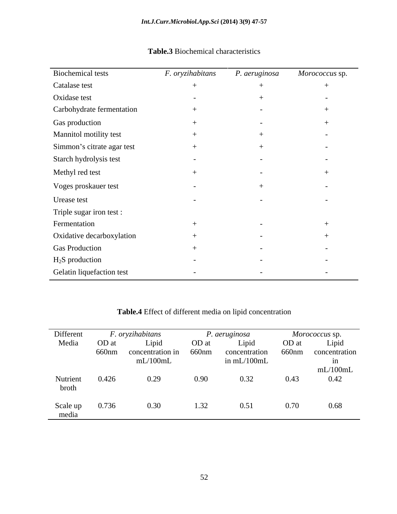| <b>Biochemical tests</b>   | F. oryzihabitans         | P. aeruginosa            | Morococcus sp.           |
|----------------------------|--------------------------|--------------------------|--------------------------|
| Catalase test              |                          |                          | $^+$                     |
| Oxidase test               |                          |                          |                          |
| Carbohydrate fermentation  |                          | $\sim$                   |                          |
| Gas production             |                          | $\sim$                   |                          |
| Mannitol motility test     |                          |                          |                          |
| Simmon's citrate agar test |                          |                          | $\overline{\phantom{0}}$ |
| Starch hydrolysis test     | $\overline{\phantom{0}}$ | $\overline{\phantom{0}}$ | $\sim$                   |
| Methyl red test            |                          | $\sim$                   |                          |
| Voges proskauer test       | $\overline{\phantom{0}}$ |                          | $\sim$                   |
| Urease test                | $\sim$                   |                          | $\overline{\phantom{0}}$ |
| Triple sugar iron test :   |                          |                          |                          |
| Fermentation               |                          |                          |                          |
| Oxidative decarboxylation  |                          |                          |                          |
| <b>Gas Production</b>      |                          | $\overline{\phantom{0}}$ | $\overline{\phantom{0}}$ |
| $H_2S$ production          |                          |                          | $\overline{\phantom{0}}$ |
|                            |                          |                          |                          |
| Gelatin liquefaction test  | $\overline{\phantom{0}}$ | $\sim$                   | $\sim$                   |

## **Table.3** Biochemical characteristics

# **Table.4** Effect of different media on lipid concentration

| Different |       | $F.$ oryzihabitans |       | P. aeruginosa |       | <i>Morococcus</i> sp. |
|-----------|-------|--------------------|-------|---------------|-------|-----------------------|
| Media     | OD at | Lipid              | OD at | Lipid         | OD at | Lipic                 |
|           | 660nm | concentration in   | 660nm | concentration | 660nm | concentration         |
|           |       | mL/100mL           |       | in mL/100mL   |       |                       |
|           |       |                    |       |               |       | mL/100mL              |
| Nutrient  | 0.426 | 0.29               | 0.90  | 0.32          | 0.43  | 0.42                  |
| broth     |       |                    |       |               |       |                       |
|           |       |                    |       |               |       |                       |
| Scale up  | 0.736 | 0.30 <sub>1</sub>  |       | 0.51          | 0.70  | 0.68                  |
| media     |       |                    |       |               |       |                       |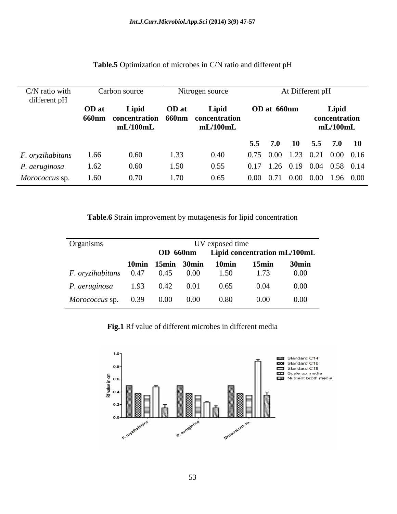| C/N ratio with<br>different pH |       | Carbon source                                    |       | Nitrogen source |             | At Different pH                           |
|--------------------------------|-------|--------------------------------------------------|-------|-----------------|-------------|-------------------------------------------|
|                                | OD at | Lipid<br>660nm concentration 660nm concentration | OD at | Lipid           | OD at 660nm | Lipid<br>concentration                    |
|                                |       | mL/100mL                                         |       | mL/100mL        |             | mL/100mL                                  |
|                                |       |                                                  |       |                 |             | 5.5 7.0 10 5.5 7.0 10                     |
| F. oryzihabitans               | 1.66  | 0.60                                             | 1.33  | 0.40            |             | 0.75 0.00 1.23 0.21 0.00 0.16             |
| P. aeruginosa                  | 1.62  | 0.60                                             | 1.50  | 0.55            |             | 0.17 1.26 0.19 0.04 0.58 0.14             |
| Morococcus sp.                 | 1.60  | 0.70                                             | 1.70  | 0.65            |             | $0.00$ $0.71$ $0.00$ $0.00$ $1.96$ $0.00$ |

#### **Table.5** Optimization of microbes in C/N ratio and different pH

**Table.6** Strain improvement by mutagenesis for lipid concentration

| Organisms                              |  |                   | UV exposed time |          |                                       |
|----------------------------------------|--|-------------------|-----------------|----------|---------------------------------------|
|                                        |  |                   |                 |          | OD 660nm Lipid concentration mL/100mL |
|                                        |  | 10min 15min 30min | 10min           | $15$ min | 30min                                 |
| <i>F. oryzihabitans</i> 0.47 0.45 0.00 |  |                   | 1.50            | 1.73     | 0.00                                  |
| P. aeruginosa 1.93 0.42 0.01           |  |                   | 0.65            | 0.04     | 0.00                                  |
| <i>Morococcus</i> sp. 0.39 0.00 0.00   |  |                   | 0.80            | $0.00\,$ | 0.00                                  |

**Fig.1** Rf value of different microbes in different media

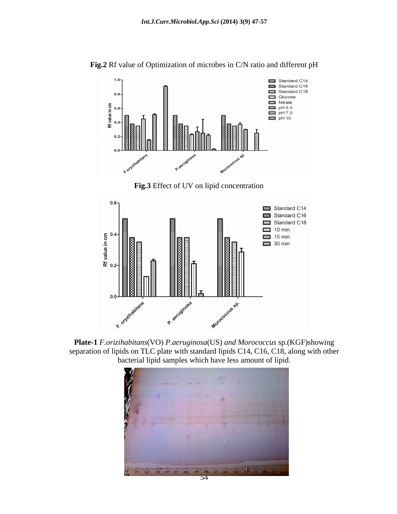

**Fig.2** Rf value of Optimization of microbes in C/N ratio and different pH

**Fig.3** Effect of UV on lipid concentration



**Plate-1** *F.orizihabitans*(VO) *P*.*aeruginosa*(US) *and Morococcus* sp.(KGF)showing separation of lipids on TLC plate with standard lipids C14, C16, C18, along with other bacterial lipid samples which have less amount of lipid.

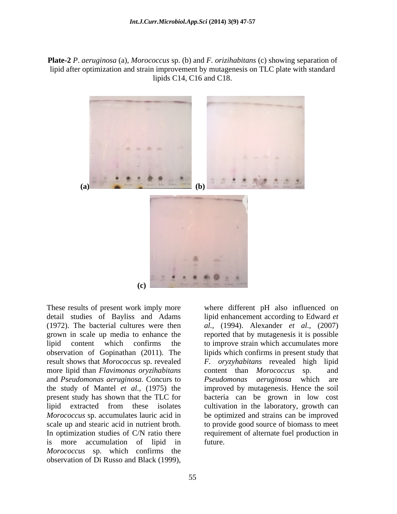**Plate-2** *P*. *aeruginosa* (a)*, Morococcus* sp. (b) and *F. orizihabitans* (c) showing separation of lipid after optimization and strain improvement by mutagenesis on TLC plate with standard lipids C14, C16 and C18.



These results of present work imply more where different pH also influenced on result shows that *Morococcus* sp. revealed more lipid than *Flavimonas oryzihabitans* content than *Morococcus* sp. and and *Pseudomonas aeruginosa.* Concurs to is more accumulation of lipid in *Morococcus* sp. which confirms the These results of present work imply more<br>
where different pH also influenced on<br>
detail studies of Bayliss and Adams<br>
(1972). The bacterial cultures were then<br>  $al$ , (1994). Alexander *et al.*, (2007)<br>
grown in scale up me

detail studies of Bayliss and Adams lipid enhancement according to Edward *et*  (1972). The bacterial cultures were then *al.,* (1994). Alexander *et al.,* (2007) grown in scale up media to enhance the reported that by mutagenesis it is possible lipid content which confirms the to improve strain which accumulates more observation of Gopinathan (2011). The lipids which confirms in present study that the study of Mantel *et al.,* (1975) the improved by mutagenesis. Hence the soil present study has shown that the TLC for bacteria can be grown in low cost lipid extracted from these isolates cultivation in the laboratory, growth can *Morococcus* sp. accumulates lauric acid in be optimized and strains can be improved scale up and stearic acid in nutrient broth. to provide good source of biomass to meet In optimization studies of C/N ratio there requirement of alternate fuel production in *F. oryzyhabitans* revealed high lipid content than *Morococcus* sp. *Pseudomonas aeruginosa* which future.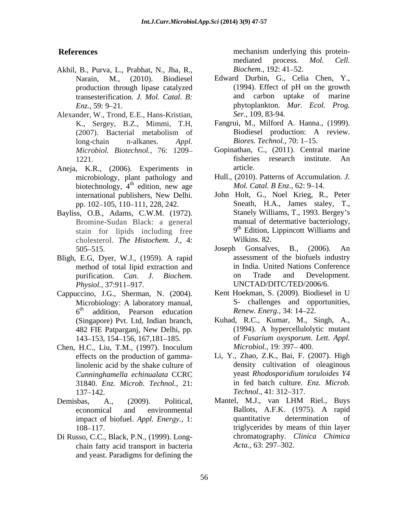- Akhil, B., Purva, L., Prabhat, N., Jha, R., *Biochem.*, 192: 41–52. transesterification*. J. Mol. Catal. B:*
- Alexander, W., Trond, E.E., Hans-Kristian, long-chain n-alkanes. *Appl.*
- Aneja, K.R., (2006). Experiments in article. biotechnology, 4<sup>th</sup> edition, new age
- Bayliss, O.B., Adams, C.W.M. (1972). stain for lipids including free  $9^{\text{th}}$  Edition, l<br>cholesterol *The Histochem J*, 4. Wilkins, 82. cholesterol. *The Histochem. J.,* 4:
- Bligh, E.G, Dyer, W.J., (1959). A rapid method of total lipid extraction and
- Cappuccino, J.G., Sherman, N. (2004). Kent Hoekman, S. (2009). Biodiesel in U<br>Microbiology: A laboratory manual, S- challenges and opportunities,
- Chen, H.C., Liu, T.M., (1997). Inoculum *Microbiol.*, 19: 397–400. linolenic acid by the shake culture of 31840. *Enz. Microb. Technol.,* 21:
- 
- Di Russo, C.C., Black, P.N., (1999). Long chain fatty acid transport in bacteria Acta., 63: 297–302. and yeast. Paradigms for defining the

**References References** *References References References References References References References References References References References References References* mechanism underlying this protein mediated process. *Mol. Cell. Biochem.,* 192: 41–52.

- Narain, M., (2010). Biodiesel Edward Durbin, G., Celia Chen, Y., production through lipase catalyzed (1994). Effect of pH on the growth *Enz.,* 59: 9 21. phytoplankton. *Mar. Ecol. Prog.* (1994). Effect of pH on the growth and carbon uptake of marine *Ser.,* 109, 83-94.
- K., Sergey, B.Z., Mimmi, T.H, Fangrui, M., Milford A. Hanna., (1999). (2007). Bacterial metabolism of Fangrui, M., Milford A. Hanna., (1999). Biodiesel production: <sup>A</sup> review. *Biores. Technol., 70:* 1–15.
- *Microbiol. Biotechnol.,* 76: 1209 Gopinathan, C., (2011). Central marine 1221. **1221 1221** fisheries research institute. An article.
- microbiology, plant pathology and Hull., (2010). Patterns of Accumulation. *J.* <sup>th</sup> edition, new age *Mol. Catal. B Enz.*, 62: 9–14. edition, new age Mol. Catal. B Enz., 62: 9–14.
- international publishers,New Delhi. pp. 102 105, 110 111, 228, 242. Bromine-Sudan Black: a general manual of determative bacteriology, John Holt, G., Noel Krieg, R., Peter Sneath, H.A., James staley, T., Stanely Williams, T., 1993. Bergey s 9 th Edition, Lippincott Williams and Wilkins. 82.
- 505–515. Joseph Gonsalves, B., (2006). An purification. *Can. J. Biochem. Physiol.,* 37:911 917. Joseph Gonsalves, B., (2006). An assessment of the biofuels industry in India. United Nations Conference on Trade and Development. UNCTAD/DITC/TED/2006/6.
- $6<sup>th</sup>$  addition, Pearson education Renew. Energ., 34: 14–22. addition, Pearson education *Renew. Energ.*, 34: 14–22. Kent Hoekman, S. (2009). Biodiesel in U S- challenges and opportunities,*Renew. Energ.,* 34: 14–22.
- (Singapore) Pvt. Ltd, Indian branch, Kuhad, R.C., Kumar, M., Singh, A., 482 FIE Patpargani, New Delhi. pp. (1994). A hypercellulolytic mutant 482 FIE Patparganj, New Delhi, pp. 143 153, 154 156, 167,181 185. of *Fusarium oxysporum*. *Lett. Appl.* Kuhad, R.C., Kumar, M., Singh, A., (1994). <sup>A</sup> hypercellulolytic mutant *Microbiol.,* 19: 397-400.
- effects on the production of gamma-Li, Y., Zhao, Z.K., Bai, F. (2007). High *Cunninghamella echinualata* CCRC 137–142. Technol., 41: 312–317. density cultivation of oleaginous yeast *Rhodosporidium toruloides Y4* in fed batch culture. *Enz. Microb. Technol.,* 41: 312–317.
- Demisbas, A., (2009). Political, Mantel, M.J., van LHM Riel., Buys economical and environmental impact of biofuel.*Appl. Energy.,* 1: 108 117. triglycerides by means of thin layer Mantel, M.J., van LHM Riel., Buys Ballots, A.F.K. (1975). A rapid quantitative determination of chromatography. *Clinica Chimica Acta.*, 63: 297–302.